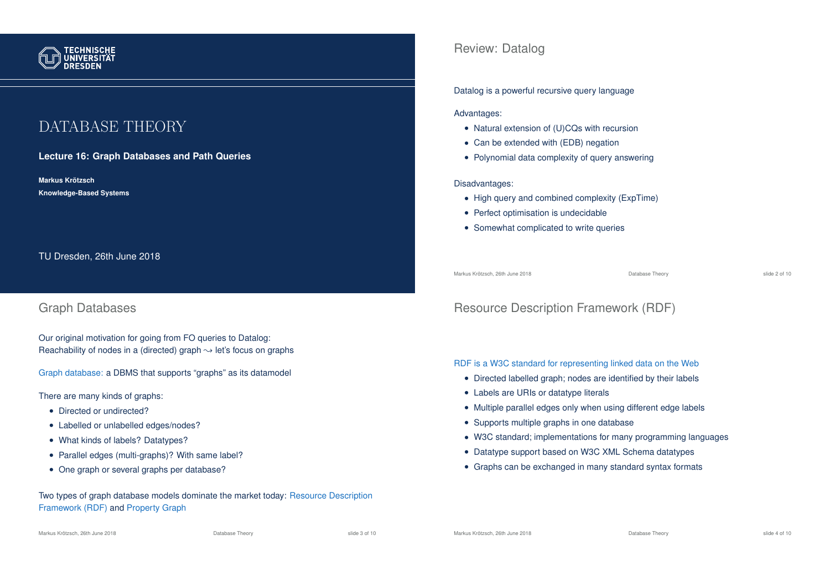

# DATABASE THEORY

## **Lecture 16: Graph Databases and Path Queries**

**Markus Krotzsch ¨ Knowledge-Based Systems**

TU Dresden, 26th June 2018

## Graph Databases

Our original motivation for going from FO queries to Datalog: Reachability of nodes in a (directed) graph  $\rightsquigarrow$  let's focus on graphs

Graph database: a DBMS that supports "graphs" as its datamodel

There are many kinds of graphs:

- Directed or undirected?
- Labelled or unlabelled edges/nodes?
- What kinds of labels? Datatypes?
- Parallel edges (multi-graphs)? With same label?
- One graph or several graphs per database?

Two types of graph database models dominate the market today: Resource Description Framework (RDF) and Property Graph

## Review: Datalog

#### Datalog is a powerful recursive query language

#### Advantages:

- Natural extension of (U)CQs with recursion
- Can be extended with (EDB) negation
- Polynomial data complexity of query answering

#### Disadvantages:

- High query and combined complexity (ExpTime)
- Perfect optimisation is undecidable
- Somewhat complicated to write queries

Markus Krötzsch, 26th June 2018 Database Theory slide 2 of 10

# Resource Description Framework (RDF)

#### RDF is a W3C standard for representing linked data on the Web

- Directed labelled graph; nodes are identified by their labels
- Labels are URIs or datatype literals
- Multiple parallel edges only when using different edge labels
- Supports multiple graphs in one database
- W3C standard; implementations for many programming languages
- Datatype support based on W3C XML Schema datatypes
- Graphs can be exchanged in many standard syntax formats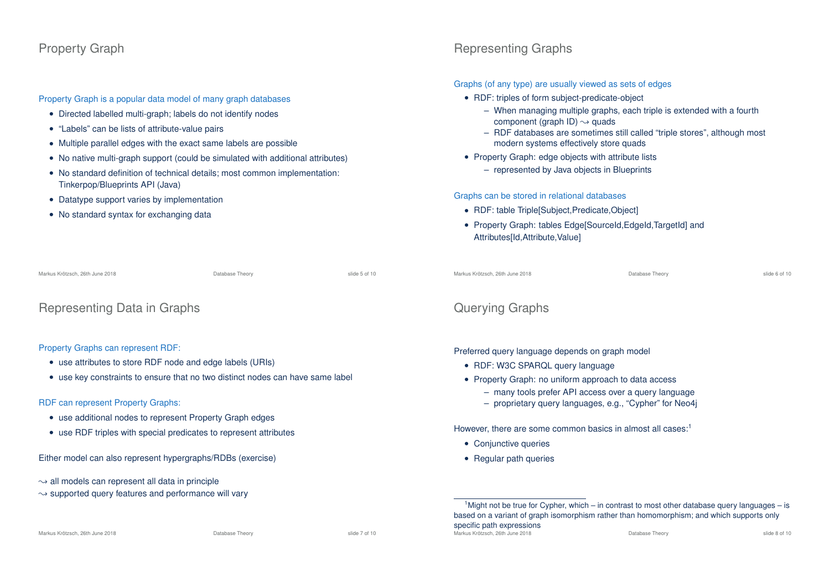## Property Graph

Property Graph is a popular data model of many graph databases

- Directed labelled multi-graph; labels do not identify nodes
- "Labels" can be lists of attribute-value pairs
- Multiple parallel edges with the exact same labels are possible
- No native multi-graph support (could be simulated with additional attributes)
- No standard definition of technical details; most common implementation: Tinkerpop/Blueprints API (Java)
- Datatype support varies by implementation
- No standard syntax for exchanging data

| Markus Krötzsch, 26th June 2018 | Database Theory | slide 5 of 10 |
|---------------------------------|-----------------|---------------|
|                                 |                 |               |

```
Representing Data in Graphs
```
Property Graphs can represent RDF:

- use attributes to store RDF node and edge labels (URIs)
- use key constraints to ensure that no two distinct nodes can have same label

## RDF can represent Property Graphs:

- use additional nodes to represent Property Graph edges
- use RDF triples with special predicates to represent attributes

Either model can also represent hypergraphs/RDBs (exercise)

- $\rightarrow$  all models can represent all data in principle
- $\rightarrow$  supported query features and performance will vary

# Representing Graphs

#### Graphs (of any type) are usually viewed as sets of edges

- RDF: triples of form subject-predicate-object
	- When managing multiple graphs, each triple is extended with a fourth component (graph ID)  $\rightsquigarrow$  quads
	- RDF databases are sometimes still called "triple stores", although most modern systems effectively store quads
- Property Graph: edge objects with attribute lists
	- represented by Java objects in Blueprints

## Graphs can be stored in relational databases

- RDF: table Triple[Subject,Predicate,Object]
- Property Graph: tables Edge[SourceId,EdgeId,TargetId] and Attributes[Id,Attribute,Value]

| Markus Krötzsch, 26th June 2018 | Database Theory | slide 6 of 10 |
|---------------------------------|-----------------|---------------|

# Querying Graphs

Preferred query language depends on graph model

- RDF: W3C SPARQL query language
- Property Graph: no uniform approach to data access
	- many tools prefer API access over a query language
	- proprietary query languages, e.g., "Cypher" for Neo4j

However, there are some common basics in almost all cases:<sup>1</sup>

- Conjunctive queries
- Regular path queries

 $1$ Might not be true for Cypher, which – in contrast to most other database query languages – is based on a variant of graph isomorphism rather than homomorphism; and which supports only